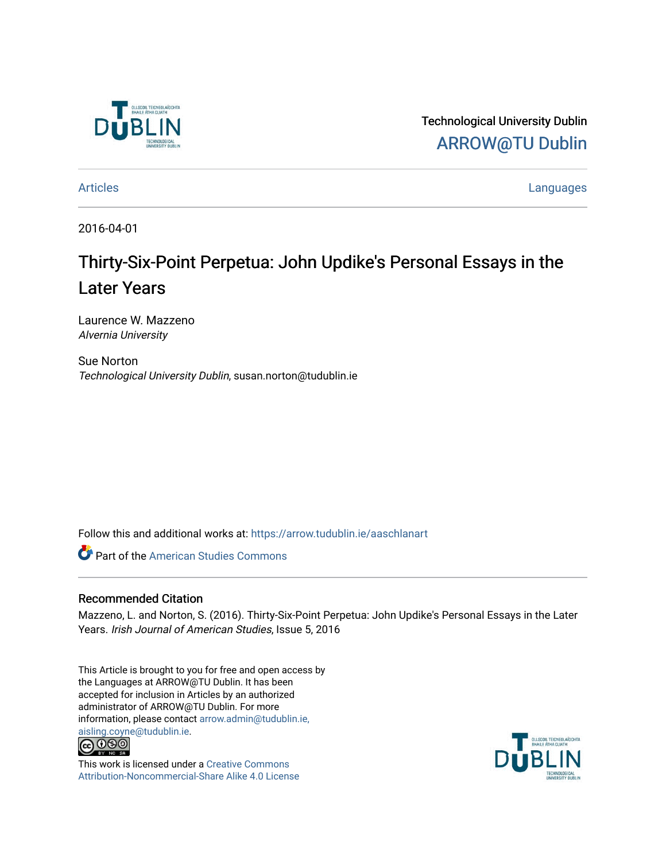

Technological University Dublin [ARROW@TU Dublin](https://arrow.tudublin.ie/) 

[Articles](https://arrow.tudublin.ie/aaschlanart) **Languages** 

2016-04-01

# Thirty-Six-Point Perpetua: John Updike's Personal Essays in the Later Years

Laurence W. Mazzeno Alvernia University

Sue Norton Technological University Dublin, susan.norton@tudublin.ie

Follow this and additional works at: [https://arrow.tudublin.ie/aaschlanart](https://arrow.tudublin.ie/aaschlanart?utm_source=arrow.tudublin.ie%2Faaschlanart%2F24&utm_medium=PDF&utm_campaign=PDFCoverPages) 

**Part of the [American Studies Commons](http://network.bepress.com/hgg/discipline/439?utm_source=arrow.tudublin.ie%2Faaschlanart%2F24&utm_medium=PDF&utm_campaign=PDFCoverPages)** 

#### Recommended Citation

Mazzeno, L. and Norton, S. (2016). Thirty-Six-Point Perpetua: John Updike's Personal Essays in the Later Years. Irish Journal of American Studies, Issue 5, 2016

This Article is brought to you for free and open access by the Languages at ARROW@TU Dublin. It has been accepted for inclusion in Articles by an authorized administrator of ARROW@TU Dublin. For more information, please contact [arrow.admin@tudublin.ie,](mailto:arrow.admin@tudublin.ie,%20aisling.coyne@tudublin.ie)  [aisling.coyne@tudublin.ie.](mailto:arrow.admin@tudublin.ie,%20aisling.coyne@tudublin.ie)<br>© 090



This work is licensed under a [Creative Commons](http://creativecommons.org/licenses/by-nc-sa/4.0/) [Attribution-Noncommercial-Share Alike 4.0 License](http://creativecommons.org/licenses/by-nc-sa/4.0/)

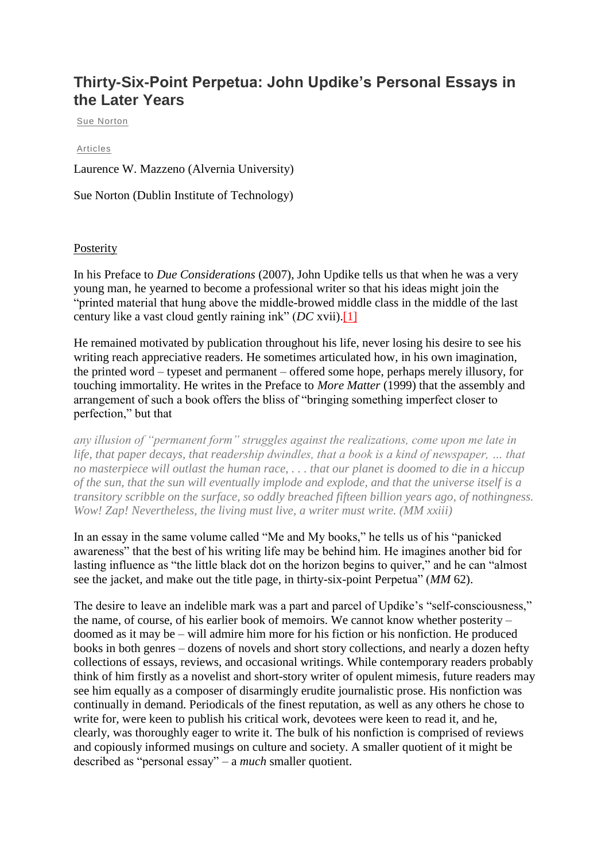# **Thirty-Six-Point Perpetua: John Updike's Personal Essays in the Later Years**

[Sue Norton](http://ijas.iaas.ie/index.php/author/suenorton/)

#### [Articles](http://ijas.iaas.ie/index.php/category/articles/?issue=issue-5)

Laurence W. Mazzeno (Alvernia University)

Sue Norton (Dublin Institute of Technology)

### Posterity

In his Preface to *Due Considerations* (2007), John Updike tells us that when he was a very young man, he yearned to become a professional writer so that his ideas might join the "printed material that hung above the middle-browed middle class in the middle of the last century like a vast cloud gently raining ink" (*DC* xvii)[.\[1\]](http://ijas.iaas.ie/index.php/thirty-six-point-perpetua-john-updikes-personal-essays-in-the-later-years-2/#_ftn1)

He remained motivated by publication throughout his life, never losing his desire to see his writing reach appreciative readers. He sometimes articulated how, in his own imagination, the printed word – typeset and permanent – offered some hope, perhaps merely illusory, for touching immortality. He writes in the Preface to *More Matter* (1999) that the assembly and arrangement of such a book offers the bliss of "bringing something imperfect closer to perfection," but that

*any illusion of "permanent form" struggles against the realizations, come upon me late in life, that paper decays, that readership dwindles, that a book is a kind of newspaper, … that no masterpiece will outlast the human race, . . . that our planet is doomed to die in a hiccup of the sun, that the sun will eventually implode and explode, and that the universe itself is a transitory scribble on the surface, so oddly breached fifteen billion years ago, of nothingness. Wow! Zap! Nevertheless, the living must live, a writer must write. (MM xxiii)*

In an essay in the same volume called "Me and My books," he tells us of his "panicked awareness" that the best of his writing life may be behind him. He imagines another bid for lasting influence as "the little black dot on the horizon begins to quiver," and he can "almost see the jacket, and make out the title page, in thirty-six-point Perpetua" (*MM* 62).

The desire to leave an indelible mark was a part and parcel of Updike's "self-consciousness," the name, of course, of his earlier book of memoirs. We cannot know whether posterity – doomed as it may be – will admire him more for his fiction or his nonfiction. He produced books in both genres – dozens of novels and short story collections, and nearly a dozen hefty collections of essays, reviews, and occasional writings. While contemporary readers probably think of him firstly as a novelist and short-story writer of opulent mimesis, future readers may see him equally as a composer of disarmingly erudite journalistic prose. His nonfiction was continually in demand. Periodicals of the finest reputation, as well as any others he chose to write for, were keen to publish his critical work, devotees were keen to read it, and he, clearly, was thoroughly eager to write it. The bulk of his nonfiction is comprised of reviews and copiously informed musings on culture and society. A smaller quotient of it might be described as "personal essay" – a *much* smaller quotient.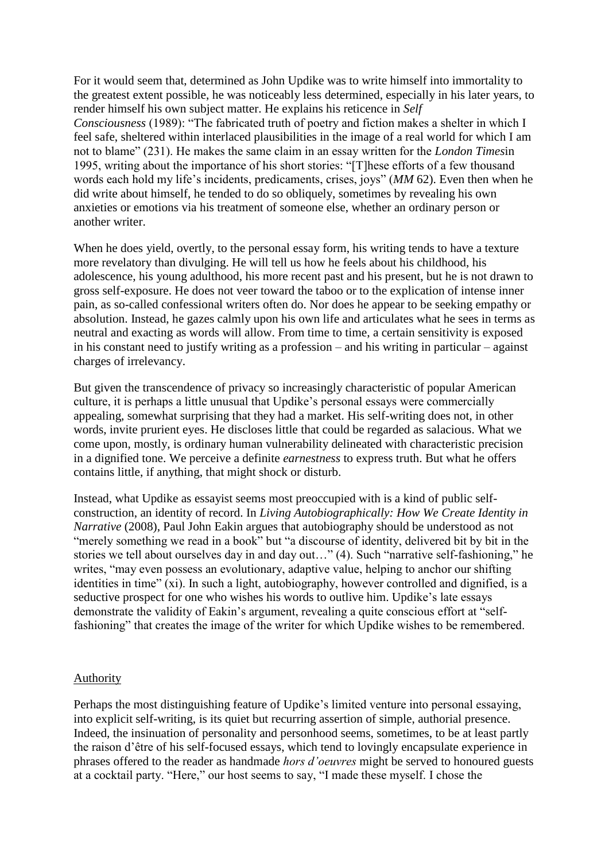For it would seem that, determined as John Updike was to write himself into immortality to the greatest extent possible, he was noticeably less determined, especially in his later years, to render himself his own subject matter. He explains his reticence in *Self Consciousness* (1989): "The fabricated truth of poetry and fiction makes a shelter in which I feel safe, sheltered within interlaced plausibilities in the image of a real world for which I am not to blame" (231). He makes the same claim in an essay written for the *London Times*in 1995, writing about the importance of his short stories: "[T]hese efforts of a few thousand words each hold my life's incidents, predicaments, crises, joys" (*MM* 62). Even then when he did write about himself, he tended to do so obliquely, sometimes by revealing his own anxieties or emotions via his treatment of someone else, whether an ordinary person or another writer.

When he does yield, overtly, to the personal essay form, his writing tends to have a texture more revelatory than divulging. He will tell us how he feels about his childhood, his adolescence, his young adulthood, his more recent past and his present, but he is not drawn to gross self-exposure. He does not veer toward the taboo or to the explication of intense inner pain, as so-called confessional writers often do. Nor does he appear to be seeking empathy or absolution. Instead, he gazes calmly upon his own life and articulates what he sees in terms as neutral and exacting as words will allow. From time to time, a certain sensitivity is exposed in his constant need to justify writing as a profession – and his writing in particular – against charges of irrelevancy.

But given the transcendence of privacy so increasingly characteristic of popular American culture, it is perhaps a little unusual that Updike's personal essays were commercially appealing, somewhat surprising that they had a market. His self-writing does not, in other words, invite prurient eyes. He discloses little that could be regarded as salacious. What we come upon, mostly, is ordinary human vulnerability delineated with characteristic precision in a dignified tone. We perceive a definite *earnestness* to express truth. But what he offers contains little, if anything, that might shock or disturb.

Instead, what Updike as essayist seems most preoccupied with is a kind of public selfconstruction, an identity of record. In *Living Autobiographically: How We Create Identity in Narrative* (2008), Paul John Eakin argues that autobiography should be understood as not "merely something we read in a book" but "a discourse of identity, delivered bit by bit in the stories we tell about ourselves day in and day out…" (4). Such "narrative self-fashioning," he writes, "may even possess an evolutionary, adaptive value, helping to anchor our shifting identities in time" (xi). In such a light, autobiography, however controlled and dignified, is a seductive prospect for one who wishes his words to outlive him. Updike's late essays demonstrate the validity of Eakin's argument, revealing a quite conscious effort at "selffashioning" that creates the image of the writer for which Updike wishes to be remembered.

## Authority

Perhaps the most distinguishing feature of Updike's limited venture into personal essaying, into explicit self-writing, is its quiet but recurring assertion of simple, authorial presence. Indeed, the insinuation of personality and personhood seems, sometimes, to be at least partly the raison d'être of his self-focused essays, which tend to lovingly encapsulate experience in phrases offered to the reader as handmade *hors d'oeuvres* might be served to honoured guests at a cocktail party. "Here," our host seems to say, "I made these myself. I chose the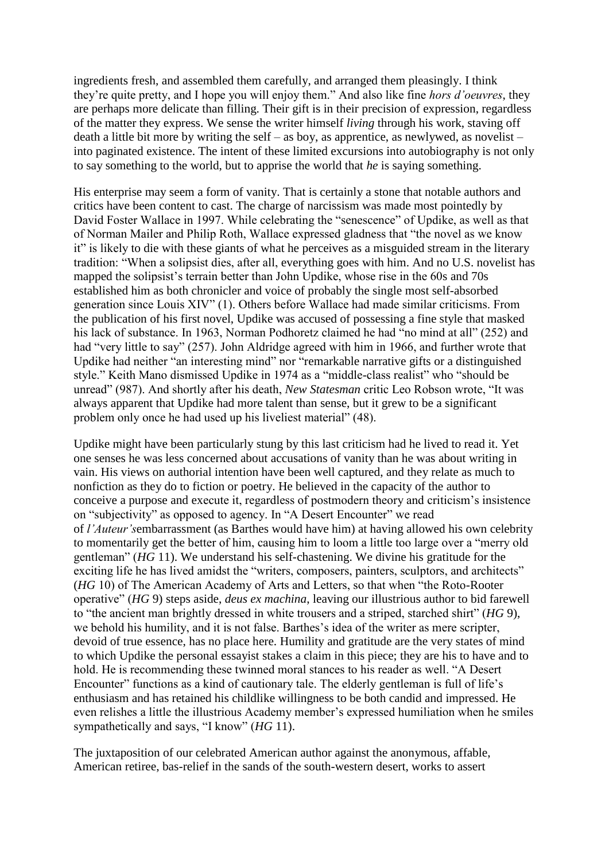ingredients fresh, and assembled them carefully, and arranged them pleasingly. I think they're quite pretty, and I hope you will enjoy them." And also like fine *hors d'oeuvres*, they are perhaps more delicate than filling. Their gift is in their precision of expression, regardless of the matter they express. We sense the writer himself *living* through his work, staving off death a little bit more by writing the self – as boy, as apprentice, as newlywed, as novelist – into paginated existence. The intent of these limited excursions into autobiography is not only to say something to the world, but to apprise the world that *he* is saying something.

His enterprise may seem a form of vanity. That is certainly a stone that notable authors and critics have been content to cast. The charge of narcissism was made most pointedly by David Foster Wallace in 1997. While celebrating the "senescence" of Updike, as well as that of Norman Mailer and Philip Roth, Wallace expressed gladness that "the novel as we know it" is likely to die with these giants of what he perceives as a misguided stream in the literary tradition: "When a solipsist dies, after all, everything goes with him. And no U.S. novelist has mapped the solipsist's terrain better than John Updike, whose rise in the 60s and 70s established him as both chronicler and voice of probably the single most self-absorbed generation since Louis XIV" (1). Others before Wallace had made similar criticisms. From the publication of his first novel, Updike was accused of possessing a fine style that masked his lack of substance. In 1963, Norman Podhoretz claimed he had "no mind at all" (252) and had "very little to say" (257). John Aldridge agreed with him in 1966, and further wrote that Updike had neither "an interesting mind" nor "remarkable narrative gifts or a distinguished style." Keith Mano dismissed Updike in 1974 as a "middle-class realist" who "should be unread" (987). And shortly after his death, *New Statesman* critic Leo Robson wrote, "It was always apparent that Updike had more talent than sense, but it grew to be a significant problem only once he had used up his liveliest material" (48).

Updike might have been particularly stung by this last criticism had he lived to read it. Yet one senses he was less concerned about accusations of vanity than he was about writing in vain. His views on authorial intention have been well captured, and they relate as much to nonfiction as they do to fiction or poetry. He believed in the capacity of the author to conceive a purpose and execute it, regardless of postmodern theory and criticism's insistence on "subjectivity" as opposed to agency. In "A Desert Encounter" we read of *l'Auteur's*embarrassment (as Barthes would have him) at having allowed his own celebrity to momentarily get the better of him, causing him to loom a little too large over a "merry old gentleman" (*HG* 11). We understand his self-chastening. We divine his gratitude for the exciting life he has lived amidst the "writers, composers, painters, sculptors, and architects" (*HG* 10) of The American Academy of Arts and Letters, so that when "the Roto-Rooter operative" (*HG* 9) steps aside, *deus ex machina*, leaving our illustrious author to bid farewell to "the ancient man brightly dressed in white trousers and a striped, starched shirt" (*HG* 9), we behold his humility, and it is not false. Barthes's idea of the writer as mere scripter, devoid of true essence, has no place here. Humility and gratitude are the very states of mind to which Updike the personal essayist stakes a claim in this piece; they are his to have and to hold. He is recommending these twinned moral stances to his reader as well. "A Desert Encounter" functions as a kind of cautionary tale. The elderly gentleman is full of life's enthusiasm and has retained his childlike willingness to be both candid and impressed. He even relishes a little the illustrious Academy member's expressed humiliation when he smiles sympathetically and says, "I know" (*HG* 11).

The juxtaposition of our celebrated American author against the anonymous, affable, American retiree, bas-relief in the sands of the south-western desert, works to assert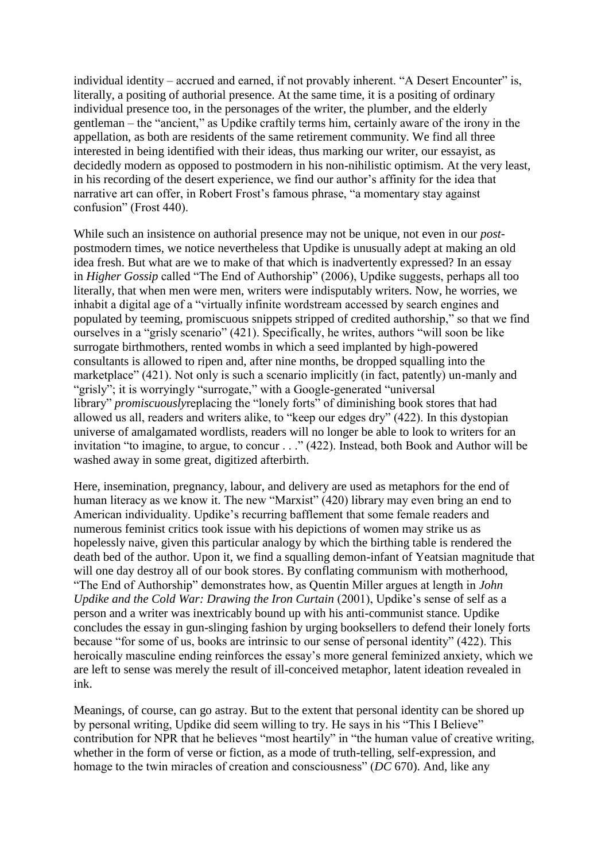individual identity – accrued and earned, if not provably inherent. "A Desert Encounter" is, literally, a positing of authorial presence. At the same time, it is a positing of ordinary individual presence too, in the personages of the writer, the plumber, and the elderly gentleman – the "ancient," as Updike craftily terms him, certainly aware of the irony in the appellation, as both are residents of the same retirement community. We find all three interested in being identified with their ideas, thus marking our writer, our essayist, as decidedly modern as opposed to postmodern in his non-nihilistic optimism. At the very least, in his recording of the desert experience, we find our author's affinity for the idea that narrative art can offer, in Robert Frost's famous phrase, "a momentary stay against confusion" (Frost 440).

While such an insistence on authorial presence may not be unique, not even in our *post*postmodern times, we notice nevertheless that Updike is unusually adept at making an old idea fresh. But what are we to make of that which is inadvertently expressed? In an essay in *Higher Gossip* called "The End of Authorship" (2006), Updike suggests, perhaps all too literally, that when men were men, writers were indisputably writers. Now, he worries, we inhabit a digital age of a "virtually infinite wordstream accessed by search engines and populated by teeming, promiscuous snippets stripped of credited authorship," so that we find ourselves in a "grisly scenario" (421). Specifically, he writes, authors "will soon be like surrogate birthmothers, rented wombs in which a seed implanted by high-powered consultants is allowed to ripen and, after nine months, be dropped squalling into the marketplace" (421). Not only is such a scenario implicitly (in fact, patently) un-manly and "grisly"; it is worryingly "surrogate," with a Google-generated "universal library" *promiscuously* replacing the "lonely forts" of diminishing book stores that had allowed us all, readers and writers alike, to "keep our edges dry" (422). In this dystopian universe of amalgamated wordlists, readers will no longer be able to look to writers for an invitation "to imagine, to argue, to concur . . ." (422). Instead, both Book and Author will be washed away in some great, digitized afterbirth.

Here, insemination, pregnancy, labour, and delivery are used as metaphors for the end of human literacy as we know it. The new "Marxist" (420) library may even bring an end to American individuality. Updike's recurring bafflement that some female readers and numerous feminist critics took issue with his depictions of women may strike us as hopelessly naive, given this particular analogy by which the birthing table is rendered the death bed of the author. Upon it, we find a squalling demon-infant of Yeatsian magnitude that will one day destroy all of our book stores. By conflating communism with motherhood, "The End of Authorship" demonstrates how, as Quentin Miller argues at length in *John Updike and the Cold War: Drawing the Iron Curtain* (2001), Updike's sense of self as a person and a writer was inextricably bound up with his anti-communist stance. Updike concludes the essay in gun-slinging fashion by urging booksellers to defend their lonely forts because "for some of us, books are intrinsic to our sense of personal identity" (422). This heroically masculine ending reinforces the essay's more general feminized anxiety, which we are left to sense was merely the result of ill-conceived metaphor, latent ideation revealed in ink.

Meanings, of course, can go astray. But to the extent that personal identity can be shored up by personal writing, Updike did seem willing to try. He says in his "This I Believe" contribution for NPR that he believes "most heartily" in "the human value of creative writing, whether in the form of verse or fiction, as a mode of truth-telling, self-expression, and homage to the twin miracles of creation and consciousness" (*DC* 670). And, like any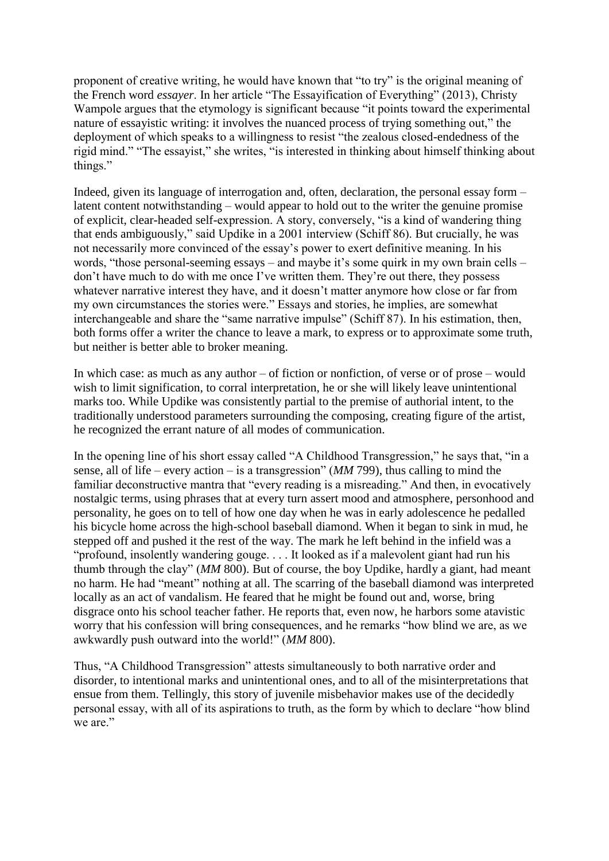proponent of creative writing, he would have known that "to try" is the original meaning of the French word *essayer*. In her article "The Essayification of Everything" (2013), Christy Wampole argues that the etymology is significant because "it points toward the experimental nature of essayistic writing: it involves the nuanced process of trying something out," the deployment of which speaks to a willingness to resist "the zealous closed-endedness of the rigid mind." "The essayist," she writes, "is interested in thinking about himself thinking about things."

Indeed, given its language of interrogation and, often, declaration, the personal essay form – latent content notwithstanding – would appear to hold out to the writer the genuine promise of explicit, clear-headed self-expression. A story, conversely, "is a kind of wandering thing that ends ambiguously," said Updike in a 2001 interview (Schiff 86). But crucially, he was not necessarily more convinced of the essay's power to exert definitive meaning. In his words, "those personal-seeming essays – and maybe it's some quirk in my own brain cells – don't have much to do with me once I've written them. They're out there, they possess whatever narrative interest they have, and it doesn't matter anymore how close or far from my own circumstances the stories were." Essays and stories, he implies, are somewhat interchangeable and share the "same narrative impulse" (Schiff 87). In his estimation, then, both forms offer a writer the chance to leave a mark, to express or to approximate some truth, but neither is better able to broker meaning.

In which case: as much as any author – of fiction or nonfiction, of verse or of prose – would wish to limit signification, to corral interpretation, he or she will likely leave unintentional marks too. While Updike was consistently partial to the premise of authorial intent, to the traditionally understood parameters surrounding the composing, creating figure of the artist, he recognized the errant nature of all modes of communication.

In the opening line of his short essay called "A Childhood Transgression," he says that, "in a sense, all of life – every action – is a transgression" (*MM* 799), thus calling to mind the familiar deconstructive mantra that "every reading is a misreading." And then, in evocatively nostalgic terms, using phrases that at every turn assert mood and atmosphere, personhood and personality, he goes on to tell of how one day when he was in early adolescence he pedalled his bicycle home across the high-school baseball diamond. When it began to sink in mud, he stepped off and pushed it the rest of the way. The mark he left behind in the infield was a "profound, insolently wandering gouge. . . . It looked as if a malevolent giant had run his thumb through the clay" (*MM* 800). But of course, the boy Updike, hardly a giant, had meant no harm. He had "meant" nothing at all. The scarring of the baseball diamond was interpreted locally as an act of vandalism. He feared that he might be found out and, worse, bring disgrace onto his school teacher father. He reports that, even now, he harbors some atavistic worry that his confession will bring consequences, and he remarks "how blind we are, as we awkwardly push outward into the world!" (*MM* 800).

Thus, "A Childhood Transgression" attests simultaneously to both narrative order and disorder, to intentional marks and unintentional ones, and to all of the misinterpretations that ensue from them. Tellingly, this story of juvenile misbehavior makes use of the decidedly personal essay, with all of its aspirations to truth, as the form by which to declare "how blind we are."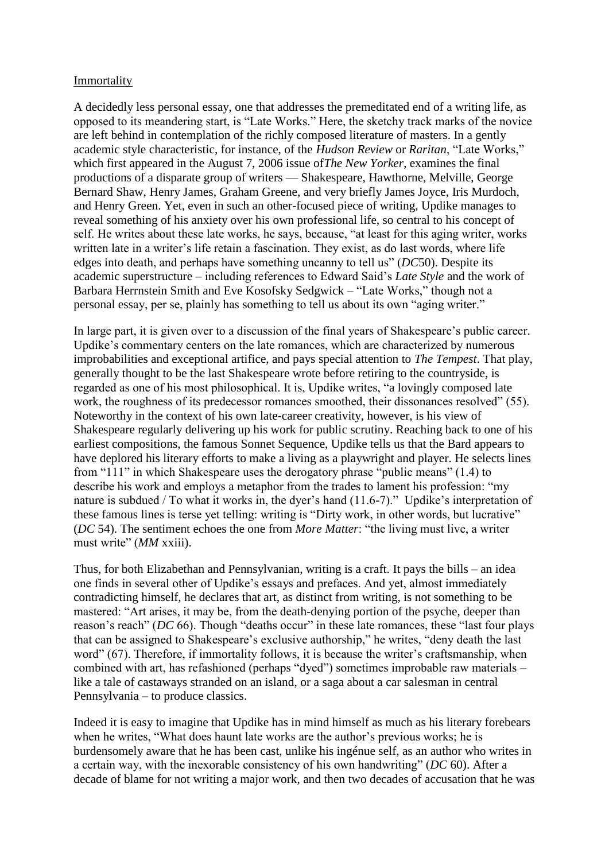### Immortality

A decidedly less personal essay, one that addresses the premeditated end of a writing life, as opposed to its meandering start, is "Late Works." Here, the sketchy track marks of the novice are left behind in contemplation of the richly composed literature of masters. In a gently academic style characteristic, for instance, of the *Hudson Review* or *Raritan*, "Late Works," which first appeared in the August 7, 2006 issue of*The New Yorker*, examines the final productions of a disparate group of writers — Shakespeare, Hawthorne, Melville, George Bernard Shaw, Henry James, Graham Greene, and very briefly James Joyce, Iris Murdoch, and Henry Green. Yet, even in such an other-focused piece of writing, Updike manages to reveal something of his anxiety over his own professional life, so central to his concept of self. He writes about these late works, he says, because, "at least for this aging writer, works written late in a writer's life retain a fascination. They exist, as do last words, where life edges into death, and perhaps have something uncanny to tell us" (*DC*50). Despite its academic superstructure – including references to Edward Said's *Late Style* and the work of Barbara Herrnstein Smith and Eve Kosofsky Sedgwick – "Late Works," though not a personal essay, per se, plainly has something to tell us about its own "aging writer."

In large part, it is given over to a discussion of the final years of Shakespeare's public career. Updike's commentary centers on the late romances, which are characterized by numerous improbabilities and exceptional artifice, and pays special attention to *The Tempest*. That play, generally thought to be the last Shakespeare wrote before retiring to the countryside, is regarded as one of his most philosophical. It is, Updike writes, "a lovingly composed late work, the roughness of its predecessor romances smoothed, their dissonances resolved" (55). Noteworthy in the context of his own late-career creativity, however, is his view of Shakespeare regularly delivering up his work for public scrutiny. Reaching back to one of his earliest compositions, the famous Sonnet Sequence, Updike tells us that the Bard appears to have deplored his literary efforts to make a living as a playwright and player. He selects lines from "111" in which Shakespeare uses the derogatory phrase "public means" (1.4) to describe his work and employs a metaphor from the trades to lament his profession: "my nature is subdued / To what it works in, the dyer's hand (11.6-7)." Updike's interpretation of these famous lines is terse yet telling: writing is "Dirty work, in other words, but lucrative" (*DC* 54). The sentiment echoes the one from *More Matter*: "the living must live, a writer must write" (*MM* xxiii).

Thus, for both Elizabethan and Pennsylvanian, writing is a craft. It pays the bills – an idea one finds in several other of Updike's essays and prefaces. And yet, almost immediately contradicting himself, he declares that art, as distinct from writing, is not something to be mastered: "Art arises, it may be, from the death-denying portion of the psyche, deeper than reason's reach" (*DC* 66). Though "deaths occur" in these late romances, these "last four plays that can be assigned to Shakespeare's exclusive authorship," he writes, "deny death the last word" (67). Therefore, if immortality follows, it is because the writer's craftsmanship, when combined with art, has refashioned (perhaps "dyed") sometimes improbable raw materials – like a tale of castaways stranded on an island, or a saga about a car salesman in central Pennsylvania – to produce classics.

Indeed it is easy to imagine that Updike has in mind himself as much as his literary forebears when he writes, "What does haunt late works are the author's previous works; he is burdensomely aware that he has been cast, unlike his ingénue self, as an author who writes in a certain way, with the inexorable consistency of his own handwriting" (*DC* 60). After a decade of blame for not writing a major work, and then two decades of accusation that he was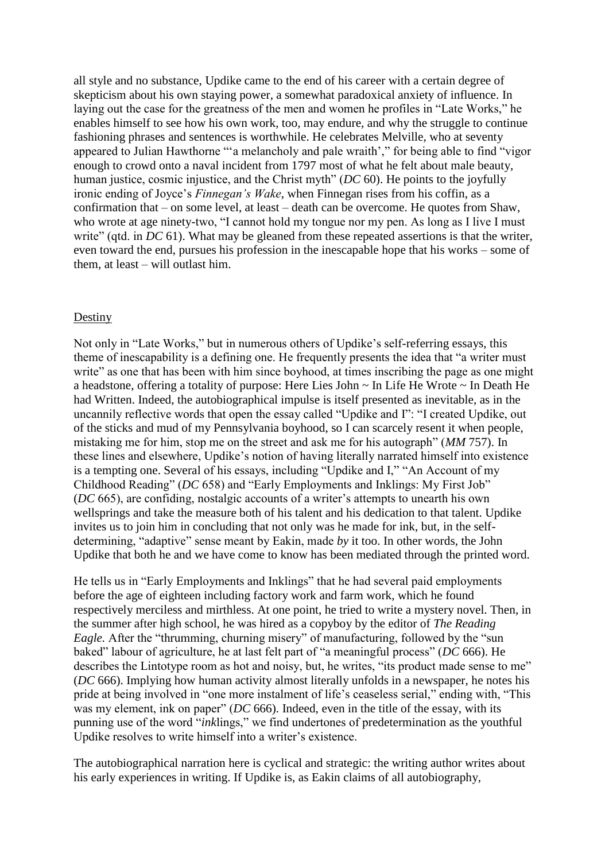all style and no substance, Updike came to the end of his career with a certain degree of skepticism about his own staying power, a somewhat paradoxical anxiety of influence. In laying out the case for the greatness of the men and women he profiles in "Late Works," he enables himself to see how his own work, too, may endure, and why the struggle to continue fashioning phrases and sentences is worthwhile. He celebrates Melville, who at seventy appeared to Julian Hawthorne "'a melancholy and pale wraith'," for being able to find "vigor enough to crowd onto a naval incident from 1797 most of what he felt about male beauty, human justice, cosmic injustice, and the Christ myth" (*DC* 60). He points to the joyfully ironic ending of Joyce's *Finnegan's Wake*, when Finnegan rises from his coffin, as a confirmation that – on some level, at least – death can be overcome. He quotes from Shaw, who wrote at age ninety-two, "I cannot hold my tongue nor my pen. As long as I live I must write" (qtd. in *DC* 61). What may be gleaned from these repeated assertions is that the writer, even toward the end, pursues his profession in the inescapable hope that his works – some of them, at least – will outlast him.

#### Destiny

Not only in "Late Works," but in numerous others of Updike's self-referring essays, this theme of inescapability is a defining one. He frequently presents the idea that "a writer must write" as one that has been with him since boyhood, at times inscribing the page as one might a headstone, offering a totality of purpose: Here Lies John ~ In Life He Wrote ~ In Death He had Written. Indeed, the autobiographical impulse is itself presented as inevitable, as in the uncannily reflective words that open the essay called "Updike and I": "I created Updike, out of the sticks and mud of my Pennsylvania boyhood, so I can scarcely resent it when people, mistaking me for him, stop me on the street and ask me for his autograph" (*MM* 757). In these lines and elsewhere, Updike's notion of having literally narrated himself into existence is a tempting one. Several of his essays, including "Updike and I," "An Account of my Childhood Reading" (*DC* 658) and "Early Employments and Inklings: My First Job" (*DC* 665), are confiding, nostalgic accounts of a writer's attempts to unearth his own wellsprings and take the measure both of his talent and his dedication to that talent. Updike invites us to join him in concluding that not only was he made for ink, but, in the selfdetermining, "adaptive" sense meant by Eakin, made *by* it too. In other words, the John Updike that both he and we have come to know has been mediated through the printed word.

He tells us in "Early Employments and Inklings" that he had several paid employments before the age of eighteen including factory work and farm work, which he found respectively merciless and mirthless. At one point, he tried to write a mystery novel. Then, in the summer after high school, he was hired as a copyboy by the editor of *The Reading Eagle.* After the "thrumming, churning misery" of manufacturing, followed by the "sun baked" labour of agriculture, he at last felt part of "a meaningful process" (*DC* 666). He describes the Lintotype room as hot and noisy, but, he writes, "its product made sense to me" (*DC* 666). Implying how human activity almost literally unfolds in a newspaper, he notes his pride at being involved in "one more instalment of life's ceaseless serial," ending with, "This was my element, ink on paper" (*DC* 666). Indeed, even in the title of the essay, with its punning use of the word "*ink*lings," we find undertones of predetermination as the youthful Updike resolves to write himself into a writer's existence.

The autobiographical narration here is cyclical and strategic: the writing author writes about his early experiences in writing. If Updike is, as Eakin claims of all autobiography,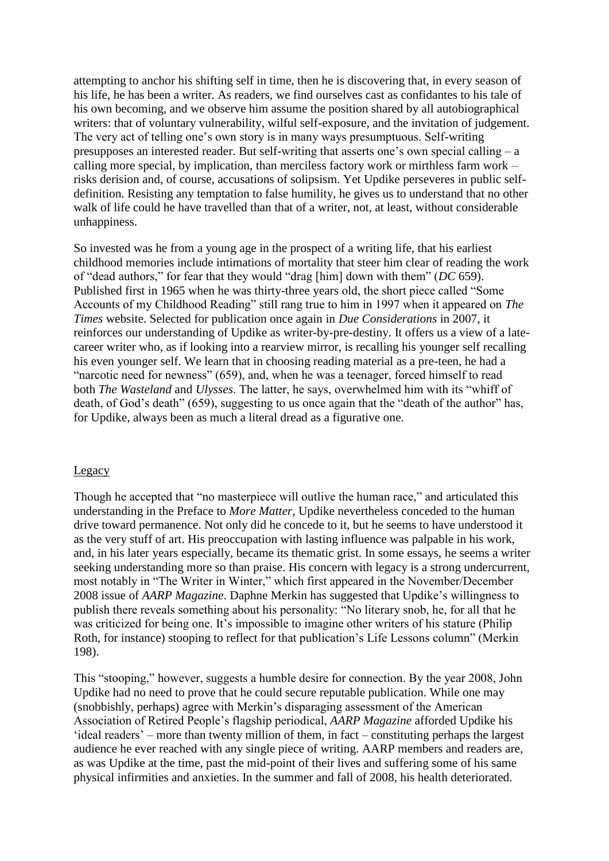attempting to anchor his shifting self in time, then he is discovering that, in every season of his life, he has been a writer. As readers, we find ourselves cast as confidantes to his tale of his own becoming, and we observe him assume the position shared by all autobiographical writers: that of voluntary vulnerability, wilful self-exposure, and the invitation of judgement. The very act of telling one's own story is in many ways presumptuous. Self-writing presupposes an interested reader. But self-writing that asserts one's own special calling – a calling more special, by implication, than merciless factory work or mirthless farm work – risks derision and, of course, accusations of solipsism. Yet Updike perseveres in public selfdefinition. Resisting any temptation to false humility, he gives us to understand that no other walk of life could he have travelled than that of a writer, not, at least, without considerable unhappiness.

So invested was he from a young age in the prospect of a writing life, that his earliest childhood memories include intimations of mortality that steer him clear of reading the work of "dead authors," for fear that they would "drag [him] down with them" (*DC* 659). Published first in 1965 when he was thirty-three years old, the short piece called "Some Accounts of my Childhood Reading" still rang true to him in 1997 when it appeared on *The Times* website. Selected for publication once again in *Due Considerations* in 2007, it reinforces our understanding of Updike as writer-by-pre-destiny. It offers us a view of a latecareer writer who, as if looking into a rearview mirror, is recalling his younger self recalling his even younger self. We learn that in choosing reading material as a pre-teen, he had a "narcotic need for newness" (659), and, when he was a teenager, forced himself to read both *The Wasteland* and *Ulysses*. The latter, he says, overwhelmed him with its "whiff of death, of God's death" (659), suggesting to us once again that the "death of the author" has, for Updike, always been as much a literal dread as a figurative one.

#### Legacy

Though he accepted that "no masterpiece will outlive the human race," and articulated this understanding in the Preface to *More Matter*, Updike nevertheless conceded to the human drive toward permanence. Not only did he concede to it, but he seems to have understood it as the very stuff of art. His preoccupation with lasting influence was palpable in his work, and, in his later years especially, became its thematic grist. In some essays, he seems a writer seeking understanding more so than praise. His concern with legacy is a strong undercurrent, most notably in "The Writer in Winter," which first appeared in the November/December 2008 issue of *AARP Magazine*. Daphne Merkin has suggested that Updike's willingness to publish there reveals something about his personality: "No literary snob, he, for all that he was criticized for being one. It's impossible to imagine other writers of his stature (Philip Roth, for instance) stooping to reflect for that publication's Life Lessons column" (Merkin 198).

This "stooping," however, suggests a humble desire for connection. By the year 2008, John Updike had no need to prove that he could secure reputable publication. While one may (snobbishly, perhaps) agree with Merkin's disparaging assessment of the American Association of Retired People's flagship periodical, *AARP Magazine* afforded Updike his 'ideal readers' – more than twenty million of them, in fact – constituting perhaps the largest audience he ever reached with any single piece of writing. AARP members and readers are, as was Updike at the time, past the mid-point of their lives and suffering some of his same physical infirmities and anxieties. In the summer and fall of 2008, his health deteriorated.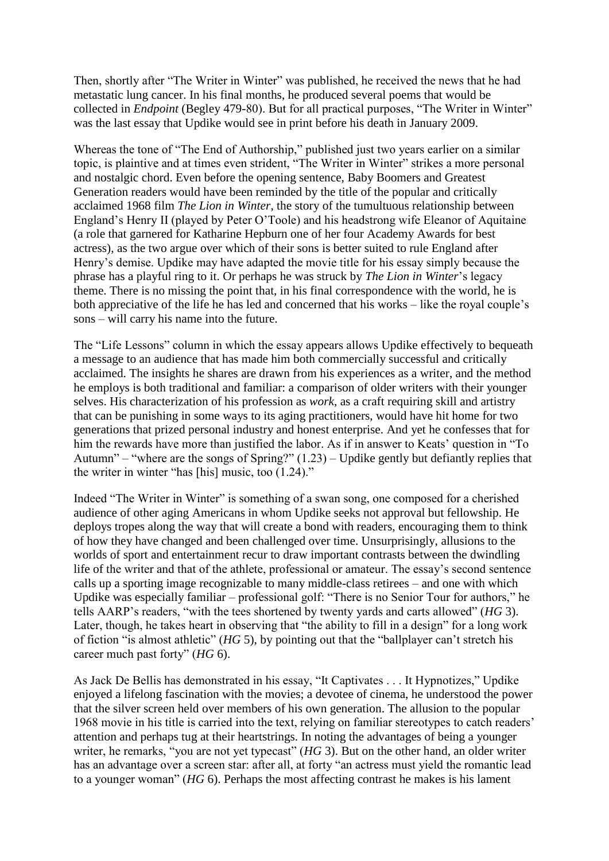Then, shortly after "The Writer in Winter" was published, he received the news that he had metastatic lung cancer. In his final months, he produced several poems that would be collected in *Endpoint* (Begley 479-80). But for all practical purposes, "The Writer in Winter" was the last essay that Updike would see in print before his death in January 2009.

Whereas the tone of "The End of Authorship," published just two years earlier on a similar topic, is plaintive and at times even strident, "The Writer in Winter" strikes a more personal and nostalgic chord. Even before the opening sentence, Baby Boomers and Greatest Generation readers would have been reminded by the title of the popular and critically acclaimed 1968 film *The Lion in Winter*, the story of the tumultuous relationship between England's Henry II (played by Peter O'Toole) and his headstrong wife Eleanor of Aquitaine (a role that garnered for Katharine Hepburn one of her four Academy Awards for best actress), as the two argue over which of their sons is better suited to rule England after Henry's demise. Updike may have adapted the movie title for his essay simply because the phrase has a playful ring to it. Or perhaps he was struck by *The Lion in Winter*'s legacy theme. There is no missing the point that, in his final correspondence with the world, he is both appreciative of the life he has led and concerned that his works – like the royal couple's sons – will carry his name into the future.

The "Life Lessons" column in which the essay appears allows Updike effectively to bequeath a message to an audience that has made him both commercially successful and critically acclaimed. The insights he shares are drawn from his experiences as a writer, and the method he employs is both traditional and familiar: a comparison of older writers with their younger selves. His characterization of his profession as *work*, as a craft requiring skill and artistry that can be punishing in some ways to its aging practitioners, would have hit home for two generations that prized personal industry and honest enterprise. And yet he confesses that for him the rewards have more than justified the labor. As if in answer to Keats' question in "To" Autumn" – "where are the songs of Spring?"  $(1.23)$  – Updike gently but defiantly replies that the writer in winter "has [his] music, too (1.24)."

Indeed "The Writer in Winter" is something of a swan song, one composed for a cherished audience of other aging Americans in whom Updike seeks not approval but fellowship. He deploys tropes along the way that will create a bond with readers, encouraging them to think of how they have changed and been challenged over time. Unsurprisingly, allusions to the worlds of sport and entertainment recur to draw important contrasts between the dwindling life of the writer and that of the athlete, professional or amateur. The essay's second sentence calls up a sporting image recognizable to many middle-class retirees – and one with which Updike was especially familiar – professional golf: "There is no Senior Tour for authors," he tells AARP's readers, "with the tees shortened by twenty yards and carts allowed" (*HG* 3). Later, though, he takes heart in observing that "the ability to fill in a design" for a long work of fiction "is almost athletic" (*HG* 5), by pointing out that the "ballplayer can't stretch his career much past forty" (*HG* 6).

As Jack De Bellis has demonstrated in his essay, "It Captivates . . . It Hypnotizes," Updike enjoyed a lifelong fascination with the movies; a devotee of cinema, he understood the power that the silver screen held over members of his own generation. The allusion to the popular 1968 movie in his title is carried into the text, relying on familiar stereotypes to catch readers' attention and perhaps tug at their heartstrings. In noting the advantages of being a younger writer, he remarks, "you are not yet typecast" (*HG* 3). But on the other hand, an older writer has an advantage over a screen star: after all, at forty "an actress must yield the romantic lead to a younger woman" (*HG* 6). Perhaps the most affecting contrast he makes is his lament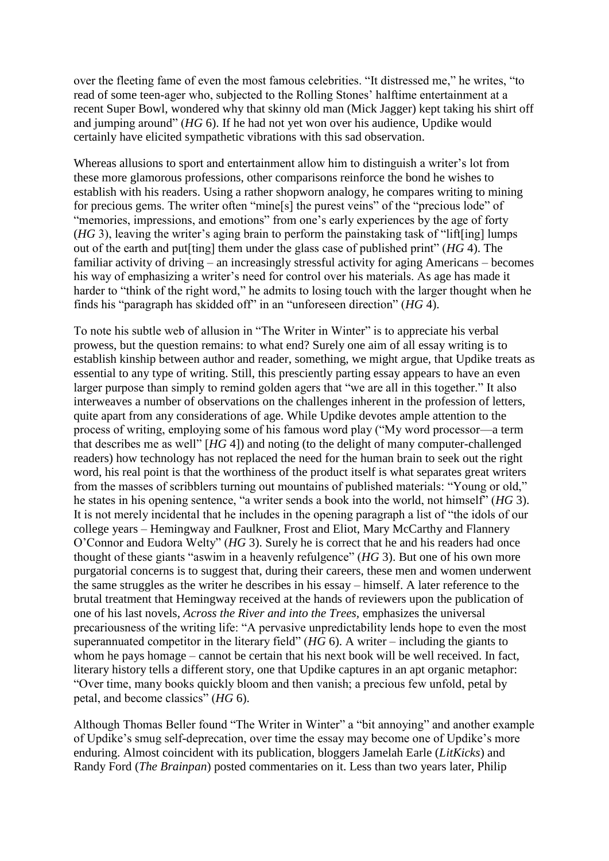over the fleeting fame of even the most famous celebrities. "It distressed me," he writes, "to read of some teen-ager who, subjected to the Rolling Stones' halftime entertainment at a recent Super Bowl, wondered why that skinny old man (Mick Jagger) kept taking his shirt off and jumping around" (*HG* 6). If he had not yet won over his audience, Updike would certainly have elicited sympathetic vibrations with this sad observation.

Whereas allusions to sport and entertainment allow him to distinguish a writer's lot from these more glamorous professions, other comparisons reinforce the bond he wishes to establish with his readers. Using a rather shopworn analogy, he compares writing to mining for precious gems. The writer often "mine[s] the purest veins" of the "precious lode" of "memories, impressions, and emotions" from one's early experiences by the age of forty (*HG* 3), leaving the writer's aging brain to perform the painstaking task of "lift[ing] lumps out of the earth and put[ting] them under the glass case of published print" (*HG* 4). The familiar activity of driving – an increasingly stressful activity for aging Americans – becomes his way of emphasizing a writer's need for control over his materials. As age has made it harder to "think of the right word," he admits to losing touch with the larger thought when he finds his "paragraph has skidded off" in an "unforeseen direction" (*HG* 4).

To note his subtle web of allusion in "The Writer in Winter" is to appreciate his verbal prowess, but the question remains: to what end? Surely one aim of all essay writing is to establish kinship between author and reader, something, we might argue, that Updike treats as essential to any type of writing. Still, this presciently parting essay appears to have an even larger purpose than simply to remind golden agers that "we are all in this together." It also interweaves a number of observations on the challenges inherent in the profession of letters, quite apart from any considerations of age. While Updike devotes ample attention to the process of writing, employing some of his famous word play ("My word processor—a term that describes me as well" [*HG* 4]) and noting (to the delight of many computer-challenged readers) how technology has not replaced the need for the human brain to seek out the right word, his real point is that the worthiness of the product itself is what separates great writers from the masses of scribblers turning out mountains of published materials: "Young or old," he states in his opening sentence, "a writer sends a book into the world, not himself" (*HG* 3). It is not merely incidental that he includes in the opening paragraph a list of "the idols of our college years – Hemingway and Faulkner, Frost and Eliot, Mary McCarthy and Flannery O'Connor and Eudora Welty" (*HG* 3). Surely he is correct that he and his readers had once thought of these giants "aswim in a heavenly refulgence" (*HG* 3). But one of his own more purgatorial concerns is to suggest that, during their careers, these men and women underwent the same struggles as the writer he describes in his essay – himself. A later reference to the brutal treatment that Hemingway received at the hands of reviewers upon the publication of one of his last novels, *Across the River and into the Trees,* emphasizes the universal precariousness of the writing life: "A pervasive unpredictability lends hope to even the most superannuated competitor in the literary field" (*HG* 6). A writer – including the giants to whom he pays homage – cannot be certain that his next book will be well received. In fact, literary history tells a different story, one that Updike captures in an apt organic metaphor: "Over time, many books quickly bloom and then vanish; a precious few unfold, petal by petal, and become classics" (*HG* 6).

Although Thomas Beller found "The Writer in Winter" a "bit annoying" and another example of Updike's smug self-deprecation, over time the essay may become one of Updike's more enduring. Almost coincident with its publication, bloggers Jamelah Earle (*LitKicks*) and Randy Ford (*The Brainpan*) posted commentaries on it. Less than two years later, Philip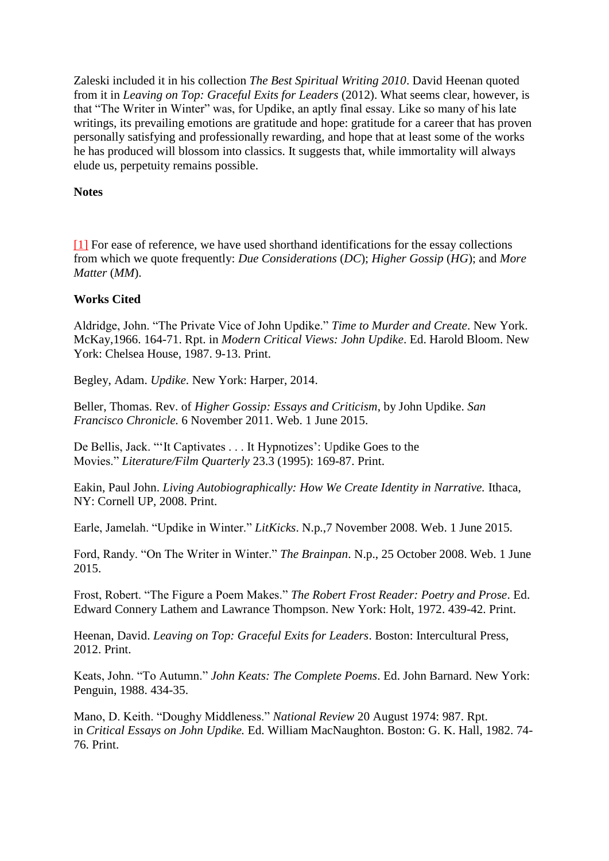Zaleski included it in his collection *The Best Spiritual Writing 2010*. David Heenan quoted from it in *Leaving on Top: Graceful Exits for Leaders* (2012). What seems clear, however, is that "The Writer in Winter" was, for Updike, an aptly final essay. Like so many of his late writings, its prevailing emotions are gratitude and hope: gratitude for a career that has proven personally satisfying and professionally rewarding, and hope that at least some of the works he has produced will blossom into classics. It suggests that, while immortality will always elude us, perpetuity remains possible.

# **Notes**

[\[1\]](http://ijas.iaas.ie/index.php/thirty-six-point-perpetua-john-updikes-personal-essays-in-the-later-years-2/#_ftnref1) For ease of reference, we have used shorthand identifications for the essay collections from which we quote frequently: *Due Considerations* (*DC*); *Higher Gossip* (*HG*); and *More Matter* (*MM*).

# **Works Cited**

Aldridge, John. "The Private Vice of John Updike." *Time to Murder and Create*. New York. McKay,1966. 164-71. Rpt. in *Modern Critical Views: John Updike*. Ed. Harold Bloom. New York: Chelsea House, 1987. 9-13. Print.

Begley, Adam. *Updike*. New York: Harper, 2014.

Beller, Thomas. Rev. of *Higher Gossip: Essays and Criticism*, by John Updike. *San Francisco Chronicle.* 6 November 2011. Web. 1 June 2015.

De Bellis, Jack. "'It Captivates . . . It Hypnotizes': Updike Goes to the Movies." *Literature/Film Quarterly* 23.3 (1995): 169-87. Print.

Eakin, Paul John. *Living Autobiographically: How We Create Identity in Narrative.* Ithaca, NY: Cornell UP, 2008. Print.

Earle, Jamelah. "Updike in Winter." *LitKicks*. N.p.,7 November 2008. Web. 1 June 2015.

Ford, Randy. "On The Writer in Winter." *The Brainpan*. N.p., 25 October 2008. Web. 1 June 2015.

Frost, Robert. "The Figure a Poem Makes." *The Robert Frost Reader: Poetry and Prose*. Ed. Edward Connery Lathem and Lawrance Thompson. New York: Holt, 1972. 439-42. Print.

Heenan, David. *Leaving on Top: Graceful Exits for Leaders*. Boston: Intercultural Press, 2012. Print.

Keats, John. "To Autumn." *John Keats: The Complete Poems*. Ed. John Barnard. New York: Penguin, 1988. 434-35.

Mano, D. Keith. "Doughy Middleness." *National Review* 20 August 1974: 987. Rpt. in *Critical Essays on John Updike.* Ed. William MacNaughton. Boston: G. K. Hall, 1982. 74- 76. Print.